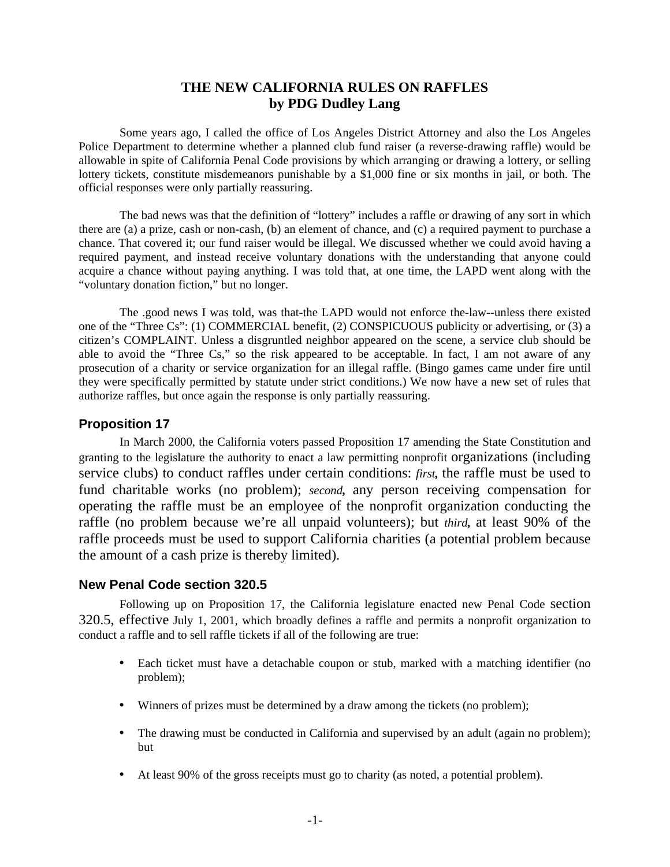# **THE NEW CALIFORNIA RULES ON RAFFLES by PDG Dudley Lang**

Some years ago, I called the office of Los Angeles District Attorney and also the Los Angeles Police Department to determine whether a planned club fund raiser (a reverse-drawing raffle) would be allowable in spite of California Penal Code provisions by which arranging or drawing a lottery, or selling lottery tickets, constitute misdemeanors punishable by a \$1,000 fine or six months in jail, or both. The official responses were only partially reassuring.

The bad news was that the definition of "lottery" includes a raffle or drawing of any sort in which there are (a) a prize, cash or non-cash, (b) an element of chance, and (c) a required payment to purchase a chance. That covered it; our fund raiser would be illegal. We discussed whether we could avoid having a required payment, and instead receive voluntary donations with the understanding that anyone could acquire a chance without paying anything. I was told that, at one time, the LAPD went along with the "voluntary donation fiction," but no longer.

The .good news I was told, was that-the LAPD would not enforce the-law--unless there existed one of the "Three Cs": (1) COMMERCIAL benefit, (2) CONSPICUOUS publicity or advertising, or (3) a citizen's COMPLAINT. Unless a disgruntled neighbor appeared on the scene, a service club should be able to avoid the "Three Cs," so the risk appeared to be acceptable. In fact, I am not aware of any prosecution of a charity or service organization for an illegal raffle. (Bingo games came under fire until they were specifically permitted by statute under strict conditions.) We now have a new set of rules that authorize raffles, but once again the response is only partially reassuring.

## **Proposition 17**

In March 2000, the California voters passed Proposition 17 amending the State Constitution and granting to the legislature the authority to enact a law permitting nonprofit organizations (including service clubs) to conduct raffles under certain conditions: *first,* the raffle must be used to fund charitable works (no problem); *second,* any person receiving compensation for operating the raffle must be an employee of the nonprofit organization conducting the raffle (no problem because we're all unpaid volunteers); but *third,* at least 90% of the raffle proceeds must be used to support California charities (a potential problem because the amount of a cash prize is thereby limited).

### **New Penal Code section 320.5**

Following up on Proposition 17, the California legislature enacted new Penal Code section 320.5, effective July 1, 2001, which broadly defines a raffle and permits a nonprofit organization to conduct a raffle and to sell raffle tickets if all of the following are true:

- Each ticket must have a detachable coupon or stub, marked with a matching identifier (no problem);
- Winners of prizes must be determined by a draw among the tickets (no problem);
- The drawing must be conducted in California and supervised by an adult (again no problem); but
- At least 90% of the gross receipts must go to charity (as noted, a potential problem).